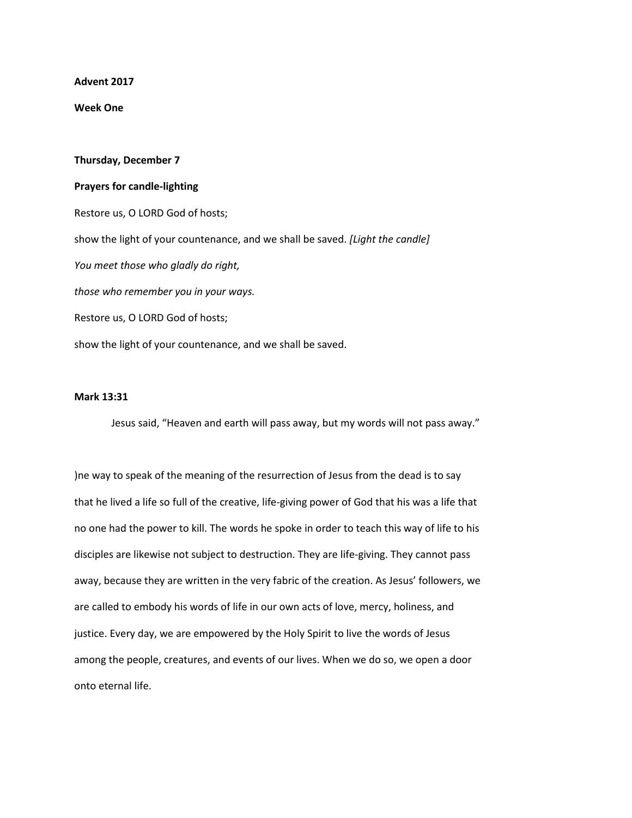**Advent 2017**

**Week One**

## **Thursday, December 7 Prayers for candle-lighting** Restore us, O LORD God of hosts; show the light of your countenance, and we shall be saved. *[Light the candle] You meet those who gladly do right, those who remember you in your ways.* Restore us, O LORD God of hosts; show the light of your countenance, and we shall be saved.

## **Mark 13:31**

Jesus said, "Heaven and earth will pass away, but my words will not pass away."

)ne way to speak of the meaning of the resurrection of Jesus from the dead is to say that he lived a life so full of the creative, life-giving power of God that his was a life that no one had the power to kill. The words he spoke in order to teach this way of life to his disciples are likewise not subject to destruction. They are life-giving. They cannot pass away, because they are written in the very fabric of the creation. As Jesus' followers, we are called to embody his words of life in our own acts of love, mercy, holiness, and justice. Every day, we are empowered by the Holy Spirit to live the words of Jesus among the people, creatures, and events of our lives. When we do so, we open a door onto eternal life.